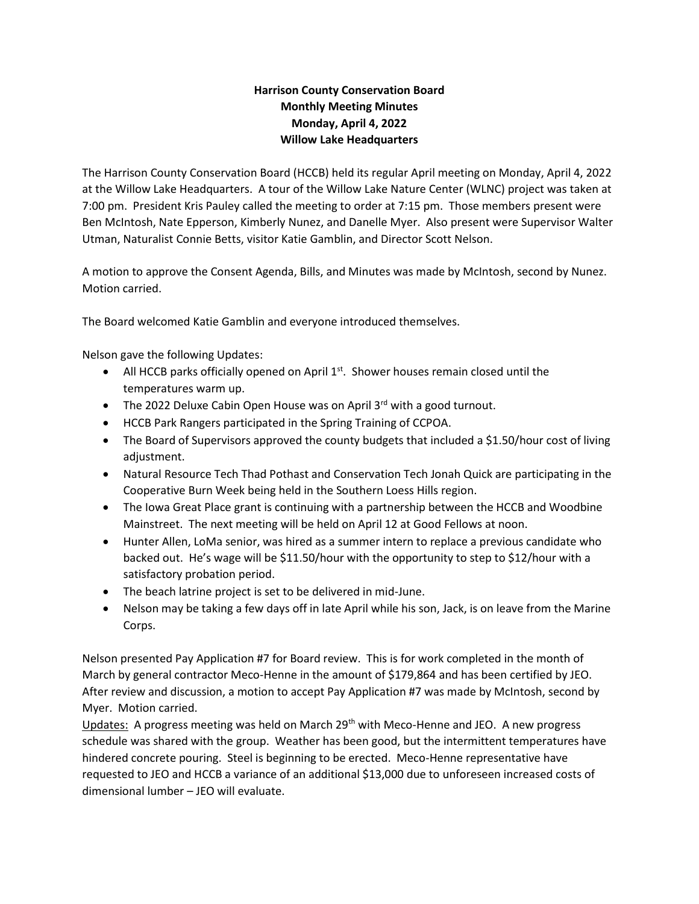## **Harrison County Conservation Board Monthly Meeting Minutes Monday, April 4, 2022 Willow Lake Headquarters**

The Harrison County Conservation Board (HCCB) held its regular April meeting on Monday, April 4, 2022 at the Willow Lake Headquarters. A tour of the Willow Lake Nature Center (WLNC) project was taken at 7:00 pm. President Kris Pauley called the meeting to order at 7:15 pm. Those members present were Ben McIntosh, Nate Epperson, Kimberly Nunez, and Danelle Myer. Also present were Supervisor Walter Utman, Naturalist Connie Betts, visitor Katie Gamblin, and Director Scott Nelson.

A motion to approve the Consent Agenda, Bills, and Minutes was made by McIntosh, second by Nunez. Motion carried.

The Board welcomed Katie Gamblin and everyone introduced themselves.

Nelson gave the following Updates:

- All HCCB parks officially opened on April  $1<sup>st</sup>$ . Shower houses remain closed until the temperatures warm up.
- The 2022 Deluxe Cabin Open House was on April  $3^{rd}$  with a good turnout.
- HCCB Park Rangers participated in the Spring Training of CCPOA.
- The Board of Supervisors approved the county budgets that included a \$1.50/hour cost of living adjustment.
- Natural Resource Tech Thad Pothast and Conservation Tech Jonah Quick are participating in the Cooperative Burn Week being held in the Southern Loess Hills region.
- The Iowa Great Place grant is continuing with a partnership between the HCCB and Woodbine Mainstreet. The next meeting will be held on April 12 at Good Fellows at noon.
- Hunter Allen, LoMa senior, was hired as a summer intern to replace a previous candidate who backed out. He's wage will be \$11.50/hour with the opportunity to step to \$12/hour with a satisfactory probation period.
- The beach latrine project is set to be delivered in mid-June.
- Nelson may be taking a few days off in late April while his son, Jack, is on leave from the Marine Corps.

Nelson presented Pay Application #7 for Board review. This is for work completed in the month of March by general contractor Meco-Henne in the amount of \$179,864 and has been certified by JEO. After review and discussion, a motion to accept Pay Application #7 was made by McIntosh, second by Myer. Motion carried.

Updates: A progress meeting was held on March 29<sup>th</sup> with Meco-Henne and JEO. A new progress schedule was shared with the group. Weather has been good, but the intermittent temperatures have hindered concrete pouring. Steel is beginning to be erected. Meco-Henne representative have requested to JEO and HCCB a variance of an additional \$13,000 due to unforeseen increased costs of dimensional lumber – JEO will evaluate.